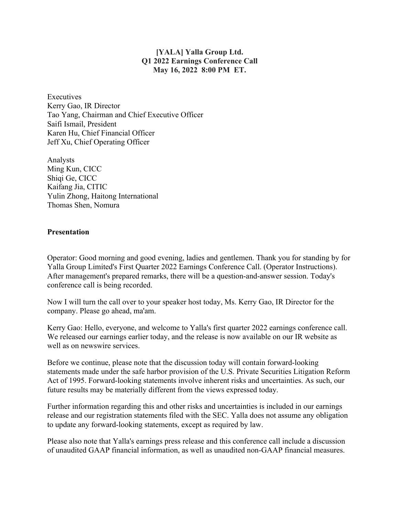## **[YALA] Yalla Group Ltd. Q1 2022 Earnings Conference Call May 16, 2022 8:00 PM ET.**

**Executives** Kerry Gao, IR Director Tao Yang, Chairman and Chief Executive Officer Saifi Ismail, President Karen Hu, Chief Financial Officer Jeff Xu, Chief Operating Officer

Analysts Ming Kun, CICC Shiqi Ge, CICC Kaifang Jia, CITIC Yulin Zhong, Haitong International Thomas Shen, Nomura

## **Presentation**

Operator: Good morning and good evening, ladies and gentlemen. Thank you for standing by for Yalla Group Limited's First Quarter 2022 Earnings Conference Call. (Operator Instructions). After management's prepared remarks, there will be a question-and-answer session. Today's conference call is being recorded.

Now I will turn the call over to your speaker host today, Ms. Kerry Gao, IR Director for the company. Please go ahead, ma'am.

Kerry Gao: Hello, everyone, and welcome to Yalla's first quarter 2022 earnings conference call. We released our earnings earlier today, and the release is now available on our IR website as well as on newswire services.

Before we continue, please note that the discussion today will contain forward-looking statements made under the safe harbor provision of the U.S. Private Securities Litigation Reform Act of 1995. Forward-looking statements involve inherent risks and uncertainties. As such, our future results may be materially different from the views expressed today.

Further information regarding this and other risks and uncertainties is included in our earnings release and our registration statements filed with the SEC. Yalla does not assume any obligation to update any forward-looking statements, except as required by law.

Please also note that Yalla's earnings press release and this conference call include a discussion of unaudited GAAP financial information, as well as unaudited non-GAAP financial measures.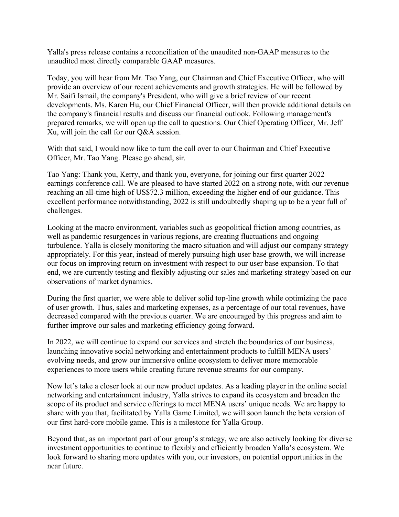Yalla's press release contains a reconciliation of the unaudited non-GAAP measures to the unaudited most directly comparable GAAP measures.

Today, you will hear from Mr. Tao Yang, our Chairman and Chief Executive Officer, who will provide an overview of our recent achievements and growth strategies. He will be followed by Mr. Saifi Ismail, the company's President, who will give a brief review of our recent developments. Ms. Karen Hu, our Chief Financial Officer, will then provide additional details on the company's financial results and discuss our financial outlook. Following management's prepared remarks, we will open up the call to questions. Our Chief Operating Officer, Mr. Jeff Xu, will join the call for our Q&A session.

With that said, I would now like to turn the call over to our Chairman and Chief Executive Officer, Mr. Tao Yang. Please go ahead, sir.

Tao Yang: Thank you, Kerry, and thank you, everyone, for joining our first quarter 2022 earnings conference call. We are pleased to have started 2022 on a strong note, with our revenue reaching an all-time high of US\$72.3 million, exceeding the higher end of our guidance. This excellent performance notwithstanding, 2022 is still undoubtedly shaping up to be a year full of challenges.

Looking at the macro environment, variables such as geopolitical friction among countries, as well as pandemic resurgences in various regions, are creating fluctuations and ongoing turbulence. Yalla is closely monitoring the macro situation and will adjust our company strategy appropriately. For this year, instead of merely pursuing high user base growth, we will increase our focus on improving return on investment with respect to our user base expansion. To that end, we are currently testing and flexibly adjusting our sales and marketing strategy based on our observations of market dynamics.

During the first quarter, we were able to deliver solid top-line growth while optimizing the pace of user growth. Thus, sales and marketing expenses, as a percentage of our total revenues, have decreased compared with the previous quarter. We are encouraged by this progress and aim to further improve our sales and marketing efficiency going forward.

In 2022, we will continue to expand our services and stretch the boundaries of our business, launching innovative social networking and entertainment products to fulfill MENA users' evolving needs, and grow our immersive online ecosystem to deliver more memorable experiences to more users while creating future revenue streams for our company.

Now let's take a closer look at our new product updates. As a leading player in the online social networking and entertainment industry, Yalla strives to expand its ecosystem and broaden the scope of its product and service offerings to meet MENA users' unique needs. We are happy to share with you that, facilitated by Yalla Game Limited, we will soon launch the beta version of our first hard-core mobile game. This is a milestone for Yalla Group.

Beyond that, as an important part of our group's strategy, we are also actively looking for diverse investment opportunities to continue to flexibly and efficiently broaden Yalla's ecosystem. We look forward to sharing more updates with you, our investors, on potential opportunities in the near future.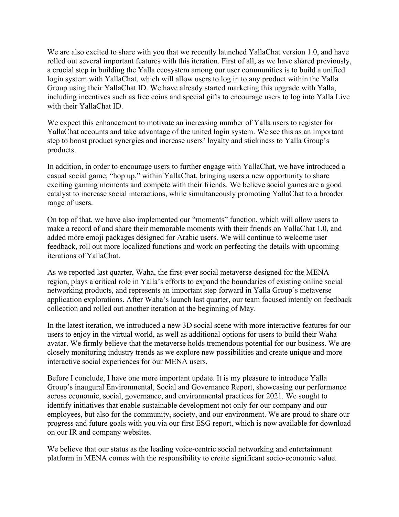We are also excited to share with you that we recently launched YallaChat version 1.0, and have rolled out several important features with this iteration. First of all, as we have shared previously, a crucial step in building the Yalla ecosystem among our user communities is to build a unified login system with YallaChat, which will allow users to log in to any product within the Yalla Group using their YallaChat ID. We have already started marketing this upgrade with Yalla, including incentives such as free coins and special gifts to encourage users to log into Yalla Live with their YallaChat ID.

We expect this enhancement to motivate an increasing number of Yalla users to register for YallaChat accounts and take advantage of the united login system. We see this as an important step to boost product synergies and increase users' loyalty and stickiness to Yalla Group's products.

In addition, in order to encourage users to further engage with YallaChat, we have introduced a casual social game, "hop up," within YallaChat, bringing users a new opportunity to share exciting gaming moments and compete with their friends. We believe social games are a good catalyst to increase social interactions, while simultaneously promoting YallaChat to a broader range of users.

On top of that, we have also implemented our "moments" function, which will allow users to make a record of and share their memorable moments with their friends on YallaChat 1.0, and added more emoji packages designed for Arabic users. We will continue to welcome user feedback, roll out more localized functions and work on perfecting the details with upcoming iterations of YallaChat.

As we reported last quarter, Waha, the first-ever social metaverse designed for the MENA region, plays a critical role in Yalla's efforts to expand the boundaries of existing online social networking products, and represents an important step forward in Yalla Group's metaverse application explorations. After Waha's launch last quarter, our team focused intently on feedback collection and rolled out another iteration at the beginning of May.

In the latest iteration, we introduced a new 3D social scene with more interactive features for our users to enjoy in the virtual world, as well as additional options for users to build their Waha avatar. We firmly believe that the metaverse holds tremendous potential for our business. We are closely monitoring industry trends as we explore new possibilities and create unique and more interactive social experiences for our MENA users.

Before I conclude, I have one more important update. It is my pleasure to introduce Yalla Group's inaugural Environmental, Social and Governance Report, showcasing our performance across economic, social, governance, and environmental practices for 2021. We sought to identify initiatives that enable sustainable development not only for our company and our employees, but also for the community, society, and our environment. We are proud to share our progress and future goals with you via our first ESG report, which is now available for download on our IR and company websites.

We believe that our status as the leading voice-centric social networking and entertainment platform in MENA comes with the responsibility to create significant socio-economic value.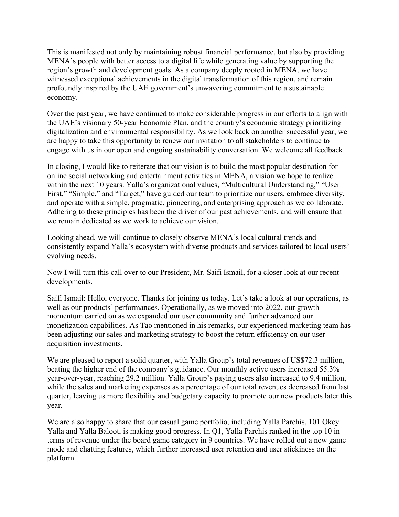This is manifested not only by maintaining robust financial performance, but also by providing MENA's people with better access to a digital life while generating value by supporting the region's growth and development goals. As a company deeply rooted in MENA, we have witnessed exceptional achievements in the digital transformation of this region, and remain profoundly inspired by the UAE government's unwavering commitment to a sustainable economy.

Over the past year, we have continued to make considerable progress in our efforts to align with the UAE's visionary 50-year Economic Plan, and the country's economic strategy prioritizing digitalization and environmental responsibility. As we look back on another successful year, we are happy to take this opportunity to renew our invitation to all stakeholders to continue to engage with us in our open and ongoing sustainability conversation. We welcome all feedback.

In closing, I would like to reiterate that our vision is to build the most popular destination for online social networking and entertainment activities in MENA, a vision we hope to realize within the next 10 years. Yalla's organizational values, "Multicultural Understanding," "User First," "Simple," and "Target," have guided our team to prioritize our users, embrace diversity, and operate with a simple, pragmatic, pioneering, and enterprising approach as we collaborate. Adhering to these principles has been the driver of our past achievements, and will ensure that we remain dedicated as we work to achieve our vision.

Looking ahead, we will continue to closely observe MENA's local cultural trends and consistently expand Yalla's ecosystem with diverse products and services tailored to local users' evolving needs.

Now I will turn this call over to our President, Mr. Saifi Ismail, for a closer look at our recent developments.

Saifi Ismail: Hello, everyone. Thanks for joining us today. Let's take a look at our operations, as well as our products' performances. Operationally, as we moved into 2022, our growth momentum carried on as we expanded our user community and further advanced our monetization capabilities. As Tao mentioned in his remarks, our experienced marketing team has been adjusting our sales and marketing strategy to boost the return efficiency on our user acquisition investments.

We are pleased to report a solid quarter, with Yalla Group's total revenues of US\$72.3 million, beating the higher end of the company's guidance. Our monthly active users increased 55.3% year-over-year, reaching 29.2 million. Yalla Group's paying users also increased to 9.4 million, while the sales and marketing expenses as a percentage of our total revenues decreased from last quarter, leaving us more flexibility and budgetary capacity to promote our new products later this year.

We are also happy to share that our casual game portfolio, including Yalla Parchis, 101 Okey Yalla and Yalla Baloot, is making good progress. In Q1, Yalla Parchis ranked in the top 10 in terms of revenue under the board game category in 9 countries. We have rolled out a new game mode and chatting features, which further increased user retention and user stickiness on the platform.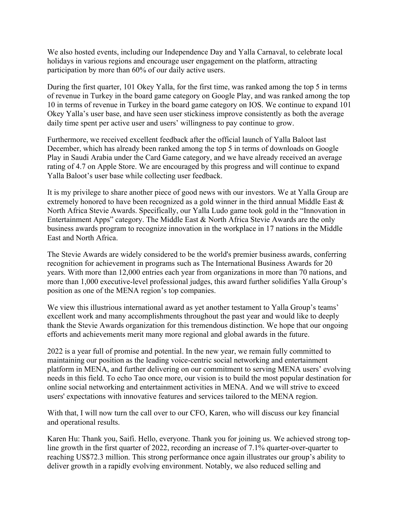We also hosted events, including our Independence Day and Yalla Carnaval, to celebrate local holidays in various regions and encourage user engagement on the platform, attracting participation by more than 60% of our daily active users.

During the first quarter, 101 Okey Yalla, for the first time, was ranked among the top 5 in terms of revenue in Turkey in the board game category on Google Play, and was ranked among the top 10 in terms of revenue in Turkey in the board game category on IOS. We continue to expand 101 Okey Yalla's user base, and have seen user stickiness improve consistently as both the average daily time spent per active user and users' willingness to pay continue to grow.

Furthermore, we received excellent feedback after the official launch of Yalla Baloot last December, which has already been ranked among the top 5 in terms of downloads on Google Play in Saudi Arabia under the Card Game category, and we have already received an average rating of 4.7 on Apple Store. We are encouraged by this progress and will continue to expand Yalla Baloot's user base while collecting user feedback.

It is my privilege to share another piece of good news with our investors. We at Yalla Group are extremely honored to have been recognized as a gold winner in the third annual Middle East & North Africa Stevie Awards. Specifically, our Yalla Ludo game took gold in the "Innovation in Entertainment Apps" category. The Middle East & North Africa Stevie Awards are the only business awards program to recognize innovation in the workplace in 17 nations in the Middle East and North Africa.

The Stevie Awards are widely considered to be the world's premier business awards, conferring recognition for achievement in programs such as The International Business Awards for 20 years. With more than 12,000 entries each year from organizations in more than 70 nations, and more than 1,000 executive-level professional judges, this award further solidifies Yalla Group's position as one of the MENA region's top companies.

We view this illustrious international award as yet another testament to Yalla Group's teams' excellent work and many accomplishments throughout the past year and would like to deeply thank the Stevie Awards organization for this tremendous distinction. We hope that our ongoing efforts and achievements merit many more regional and global awards in the future.

2022 is a year full of promise and potential. In the new year, we remain fully committed to maintaining our position as the leading voice-centric social networking and entertainment platform in MENA, and further delivering on our commitment to serving MENA users' evolving needs in this field. To echo Tao once more, our vision is to build the most popular destination for online social networking and entertainment activities in MENA. And we will strive to exceed users' expectations with innovative features and services tailored to the MENA region.

With that, I will now turn the call over to our CFO, Karen, who will discuss our key financial and operational results.

Karen Hu: Thank you, Saifi. Hello, everyone. Thank you for joining us. We achieved strong topline growth in the first quarter of 2022, recording an increase of 7.1% quarter-over-quarter to reaching US\$72.3 million. This strong performance once again illustrates our group's ability to deliver growth in a rapidly evolving environment. Notably, we also reduced selling and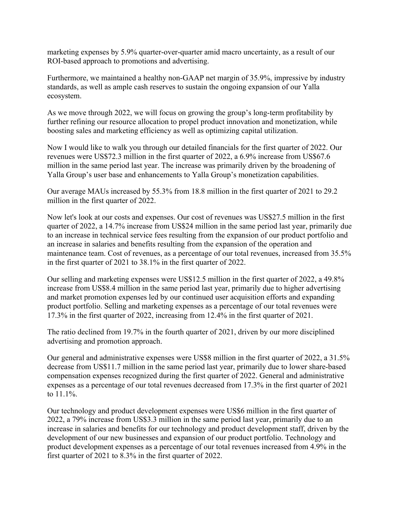marketing expenses by 5.9% quarter-over-quarter amid macro uncertainty, as a result of our ROI-based approach to promotions and advertising.

Furthermore, we maintained a healthy non-GAAP net margin of 35.9%, impressive by industry standards, as well as ample cash reserves to sustain the ongoing expansion of our Yalla ecosystem.

As we move through 2022, we will focus on growing the group's long-term profitability by further refining our resource allocation to propel product innovation and monetization, while boosting sales and marketing efficiency as well as optimizing capital utilization.

Now I would like to walk you through our detailed financials for the first quarter of 2022. Our revenues were US\$72.3 million in the first quarter of 2022, a 6.9% increase from US\$67.6 million in the same period last year. The increase was primarily driven by the broadening of Yalla Group's user base and enhancements to Yalla Group's monetization capabilities.

Our average MAUs increased by 55.3% from 18.8 million in the first quarter of 2021 to 29.2 million in the first quarter of 2022.

Now let's look at our costs and expenses. Our cost of revenues was US\$27.5 million in the first quarter of 2022, a 14.7% increase from US\$24 million in the same period last year, primarily due to an increase in technical service fees resulting from the expansion of our product portfolio and an increase in salaries and benefits resulting from the expansion of the operation and maintenance team. Cost of revenues, as a percentage of our total revenues, increased from 35.5% in the first quarter of 2021 to 38.1% in the first quarter of 2022.

Our selling and marketing expenses were US\$12.5 million in the first quarter of 2022, a 49.8% increase from US\$8.4 million in the same period last year, primarily due to higher advertising and market promotion expenses led by our continued user acquisition efforts and expanding product portfolio. Selling and marketing expenses as a percentage of our total revenues were 17.3% in the first quarter of 2022, increasing from 12.4% in the first quarter of 2021.

The ratio declined from 19.7% in the fourth quarter of 2021, driven by our more disciplined advertising and promotion approach.

Our general and administrative expenses were US\$8 million in the first quarter of 2022, a 31.5% decrease from US\$11.7 million in the same period last year, primarily due to lower share-based compensation expenses recognized during the first quarter of 2022. General and administrative expenses as a percentage of our total revenues decreased from 17.3% in the first quarter of 2021 to 11.1%.

Our technology and product development expenses were US\$6 million in the first quarter of 2022, a 79% increase from US\$3.3 million in the same period last year, primarily due to an increase in salaries and benefits for our technology and product development staff, driven by the development of our new businesses and expansion of our product portfolio. Technology and product development expenses as a percentage of our total revenues increased from 4.9% in the first quarter of 2021 to 8.3% in the first quarter of 2022.